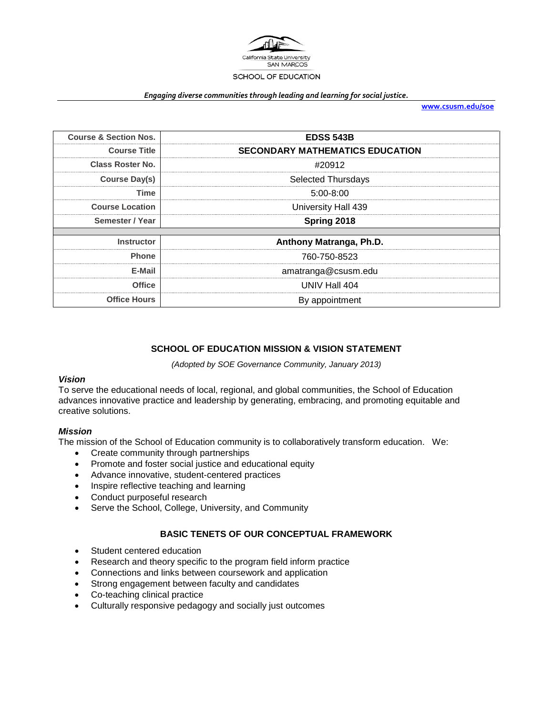

#### *Engaging diverse communities through leading and learning for social justice.*

**[www.csusm.edu/soe](http://www.csusm.edu/soe)**

| <b>Course &amp; Section Nos.</b> | <b>EDSS 543B</b>                       |  |
|----------------------------------|----------------------------------------|--|
| <b>Course Title</b>              | <b>SECONDARY MATHEMATICS EDUCATION</b> |  |
| Class Roster No.                 | #20912                                 |  |
| Course Day(s)                    | <b>Selected Thursdays</b>              |  |
| Time                             | $5:00-8:00$                            |  |
| <b>Course Location</b>           | University Hall 439                    |  |
| Semester / Year                  | Spring 2018                            |  |
|                                  |                                        |  |
| <b>Instructor</b>                | Anthony Matranga, Ph.D.                |  |
| <b>Phone</b>                     | 760-750-8523                           |  |
| E-Mail                           | amatranga@csusm.edu                    |  |
| <b>Office</b>                    | UNIV Hall 404                          |  |
| <b>Office Hours</b>              | By appointment                         |  |

# **SCHOOL OF EDUCATION MISSION & VISION STATEMENT**

*(Adopted by SOE Governance Community, January 2013)*

#### *Vision*

To serve the educational needs of local, regional, and global communities, the School of Education advances innovative practice and leadership by generating, embracing, and promoting equitable and creative solutions.

#### *Mission*

The mission of the School of Education community is to collaboratively transform education. We:

- Create community through partnerships
- Promote and foster social justice and educational equity
- Advance innovative, student-centered practices
- Inspire reflective teaching and learning
- Conduct purposeful research
- Serve the School, College, University, and Community

### **BASIC TENETS OF OUR CONCEPTUAL FRAMEWORK**

- Student centered education
- Research and theory specific to the program field inform practice
- Connections and links between coursework and application
- Strong engagement between faculty and candidates
- Co-teaching clinical practice
- Culturally responsive pedagogy and socially just outcomes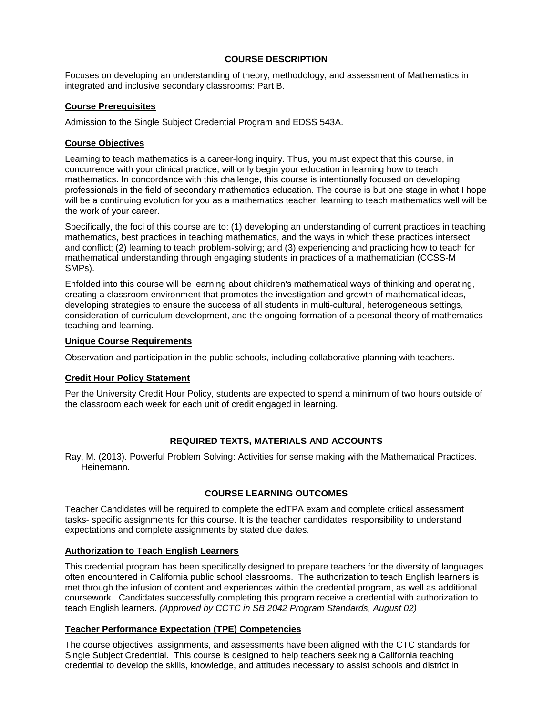# **COURSE DESCRIPTION**

Focuses on developing an understanding of theory, methodology, and assessment of Mathematics in integrated and inclusive secondary classrooms: Part B.

### **Course Prerequisites**

Admission to the Single Subject Credential Program and EDSS 543A.

## **Course Objectives**

Learning to teach mathematics is a career-long inquiry. Thus, you must expect that this course, in concurrence with your clinical practice, will only begin your education in learning how to teach mathematics. In concordance with this challenge, this course is intentionally focused on developing professionals in the field of secondary mathematics education. The course is but one stage in what I hope will be a continuing evolution for you as a mathematics teacher; learning to teach mathematics well will be the work of your career.

Specifically, the foci of this course are to: (1) developing an understanding of current practices in teaching mathematics, best practices in teaching mathematics, and the ways in which these practices intersect and conflict; (2) learning to teach problem-solving; and (3) experiencing and practicing how to teach for mathematical understanding through engaging students in practices of a mathematician (CCSS-M SMPs).

Enfolded into this course will be learning about children's mathematical ways of thinking and operating, creating a classroom environment that promotes the investigation and growth of mathematical ideas, developing strategies to ensure the success of all students in multi-cultural, heterogeneous settings, consideration of curriculum development, and the ongoing formation of a personal theory of mathematics teaching and learning.

## **Unique Course Requirements**

Observation and participation in the public schools, including collaborative planning with teachers.

# **Credit Hour Policy Statement**

Per the University Credit Hour Policy, students are expected to spend a minimum of two hours outside of the classroom each week for each unit of credit engaged in learning.

# **REQUIRED TEXTS, MATERIALS AND ACCOUNTS**

Ray, M. (2013). Powerful Problem Solving: Activities for sense making with the Mathematical Practices. Heinemann.

# **COURSE LEARNING OUTCOMES**

Teacher Candidates will be required to complete the edTPA exam and complete critical assessment tasks- specific assignments for this course. It is the teacher candidates' responsibility to understand expectations and complete assignments by stated due dates.

# **Authorization to Teach English Learners**

This credential program has been specifically designed to prepare teachers for the diversity of languages often encountered in California public school classrooms. The authorization to teach English learners is met through the infusion of content and experiences within the credential program, as well as additional coursework. Candidates successfully completing this program receive a credential with authorization to teach English learners. *(Approved by CCTC in SB 2042 Program Standards, August 02)*

# **Teacher Performance Expectation (TPE) Competencies**

The course objectives, assignments, and assessments have been aligned with the CTC standards for Single Subject Credential. This course is designed to help teachers seeking a California teaching credential to develop the skills, knowledge, and attitudes necessary to assist schools and district in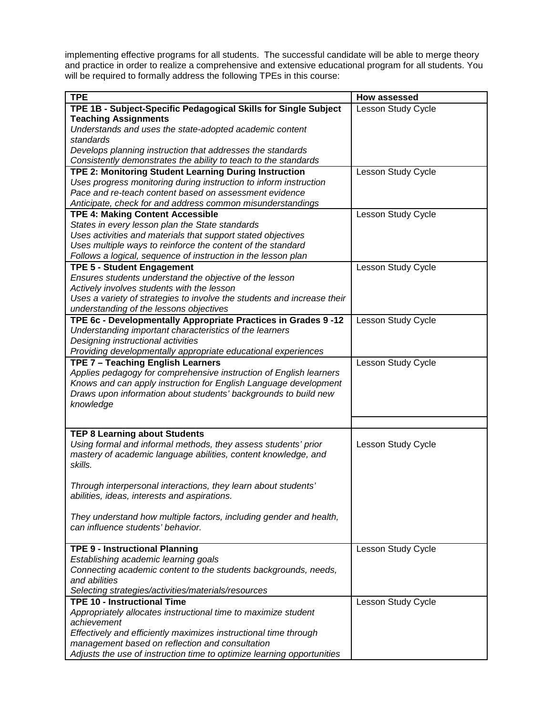implementing effective programs for all students. The successful candidate will be able to merge theory and practice in order to realize a comprehensive and extensive educational program for all students. You will be required to formally address the following TPEs in this course:

| <b>TPE</b>                                                              | How assessed       |
|-------------------------------------------------------------------------|--------------------|
| TPE 1B - Subject-Specific Pedagogical Skills for Single Subject         | Lesson Study Cycle |
| <b>Teaching Assignments</b>                                             |                    |
| Understands and uses the state-adopted academic content                 |                    |
| standards                                                               |                    |
| Develops planning instruction that addresses the standards              |                    |
| Consistently demonstrates the ability to teach to the standards         |                    |
| TPE 2: Monitoring Student Learning During Instruction                   | Lesson Study Cycle |
| Uses progress monitoring during instruction to inform instruction       |                    |
| Pace and re-teach content based on assessment evidence                  |                    |
| Anticipate, check for and address common misunderstandings              |                    |
| <b>TPE 4: Making Content Accessible</b>                                 | Lesson Study Cycle |
| States in every lesson plan the State standards                         |                    |
| Uses activities and materials that support stated objectives            |                    |
| Uses multiple ways to reinforce the content of the standard             |                    |
| Follows a logical, sequence of instruction in the lesson plan           |                    |
| <b>TPE 5 - Student Engagement</b>                                       | Lesson Study Cycle |
| Ensures students understand the objective of the lesson                 |                    |
| Actively involves students with the lesson                              |                    |
| Uses a variety of strategies to involve the students and increase their |                    |
| understanding of the lessons objectives                                 |                    |
|                                                                         |                    |
| TPE 6c - Developmentally Appropriate Practices in Grades 9-12           | Lesson Study Cycle |
| Understanding important characteristics of the learners                 |                    |
| Designing instructional activities                                      |                    |
| Providing developmentally appropriate educational experiences           |                    |
| TPE 7 - Teaching English Learners                                       | Lesson Study Cycle |
| Applies pedagogy for comprehensive instruction of English learners      |                    |
| Knows and can apply instruction for English Language development        |                    |
| Draws upon information about students' backgrounds to build new         |                    |
| knowledge                                                               |                    |
|                                                                         |                    |
| <b>TEP 8 Learning about Students</b>                                    |                    |
| Using formal and informal methods, they assess students' prior          | Lesson Study Cycle |
| mastery of academic language abilities, content knowledge, and          |                    |
| skills.                                                                 |                    |
|                                                                         |                    |
| Through interpersonal interactions, they learn about students'          |                    |
| abilities, ideas, interests and aspirations.                            |                    |
|                                                                         |                    |
| They understand how multiple factors, including gender and health,      |                    |
| can influence students' behavior.                                       |                    |
|                                                                         |                    |
| <b>TPE 9 - Instructional Planning</b>                                   | Lesson Study Cycle |
| Establishing academic learning goals                                    |                    |
| Connecting academic content to the students backgrounds, needs,         |                    |
| and abilities                                                           |                    |
| Selecting strategies/activities/materials/resources                     |                    |
| <b>TPE 10 - Instructional Time</b>                                      | Lesson Study Cycle |
| Appropriately allocates instructional time to maximize student          |                    |
| achievement                                                             |                    |
| Effectively and efficiently maximizes instructional time through        |                    |
| management based on reflection and consultation                         |                    |
| Adjusts the use of instruction time to optimize learning opportunities  |                    |
|                                                                         |                    |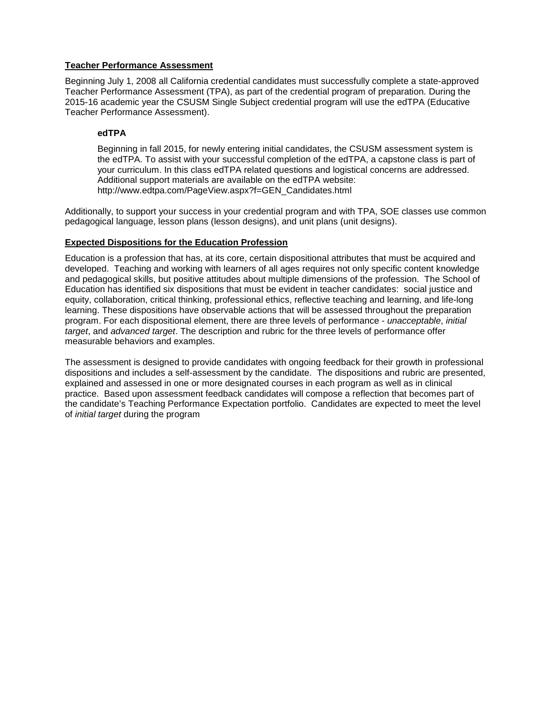## **Teacher Performance Assessment**

Beginning July 1, 2008 all California credential candidates must successfully complete a state-approved Teacher Performance Assessment (TPA), as part of the credential program of preparation. During the 2015-16 academic year the CSUSM Single Subject credential program will use the edTPA (Educative Teacher Performance Assessment).

## **edTPA**

Beginning in fall 2015, for newly entering initial candidates, the CSUSM assessment system is the edTPA. To assist with your successful completion of the edTPA, a capstone class is part of your curriculum. In this class edTPA related questions and logistical concerns are addressed. Additional support materials are available on the edTPA website: http://www.edtpa.com/PageView.aspx?f=GEN\_Candidates.html

Additionally, to support your success in your credential program and with TPA, SOE classes use common pedagogical language, lesson plans (lesson designs), and unit plans (unit designs).

## **Expected Dispositions for the Education Profession**

Education is a profession that has, at its core, certain dispositional attributes that must be acquired and developed. Teaching and working with learners of all ages requires not only specific content knowledge and pedagogical skills, but positive attitudes about multiple dimensions of the profession. The School of Education has identified six dispositions that must be evident in teacher candidates: social justice and equity, collaboration, critical thinking, professional ethics, reflective teaching and learning, and life-long learning. These dispositions have observable actions that will be assessed throughout the preparation program. For each dispositional element, there are three levels of performance - *unacceptable*, *initial target*, and *advanced target*. The description and rubric for the three levels of performance offer measurable behaviors and examples.

The assessment is designed to provide candidates with ongoing feedback for their growth in professional dispositions and includes a self-assessment by the candidate. The dispositions and rubric are presented, explained and assessed in one or more designated courses in each program as well as in clinical practice. Based upon assessment feedback candidates will compose a reflection that becomes part of the candidate's Teaching Performance Expectation portfolio. Candidates are expected to meet the level of *initial target* during the program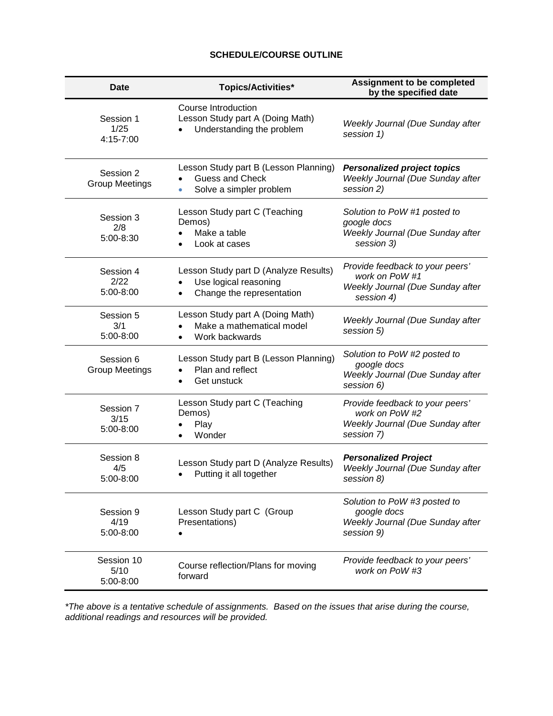# **SCHEDULE/COURSE OUTLINE**

| <b>Date</b>                        | <b>Topics/Activities*</b>                                                                    | <b>Assignment to be completed</b><br>by the specified date                                          |
|------------------------------------|----------------------------------------------------------------------------------------------|-----------------------------------------------------------------------------------------------------|
| Session 1<br>1/25<br>4:15-7:00     | Course Introduction<br>Lesson Study part A (Doing Math)<br>Understanding the problem         | Weekly Journal (Due Sunday after<br>session 1)                                                      |
| Session 2<br><b>Group Meetings</b> | Lesson Study part B (Lesson Planning)<br><b>Guess and Check</b><br>Solve a simpler problem   | <b>Personalized project topics</b><br>Weekly Journal (Due Sunday after<br>session 2)                |
| Session 3<br>2/8<br>5:00-8:30      | Lesson Study part C (Teaching<br>Demos)<br>Make a table<br>Look at cases                     | Solution to PoW #1 posted to<br>google docs<br>Weekly Journal (Due Sunday after<br>session 3)       |
| Session 4<br>2/22<br>5:00-8:00     | Lesson Study part D (Analyze Results)<br>Use logical reasoning<br>Change the representation  | Provide feedback to your peers'<br>work on PoW #1<br>Weekly Journal (Due Sunday after<br>session 4) |
| Session 5<br>3/1<br>5:00-8:00      | Lesson Study part A (Doing Math)<br>Make a mathematical model<br>Work backwards<br>$\bullet$ | Weekly Journal (Due Sunday after<br>session 5)                                                      |
| Session 6<br><b>Group Meetings</b> | Lesson Study part B (Lesson Planning)<br>Plan and reflect<br>Get unstuck                     | Solution to PoW #2 posted to<br>google docs<br>Weekly Journal (Due Sunday after<br>session 6)       |
| Session 7<br>3/15<br>5:00-8:00     | Lesson Study part C (Teaching<br>Demos)<br>Play<br>Wonder                                    | Provide feedback to your peers'<br>work on PoW #2<br>Weekly Journal (Due Sunday after<br>session 7) |
| Session 8<br>4/5<br>5:00-8:00      | Lesson Study part D (Analyze Results)<br>Putting it all together                             | <b>Personalized Project</b><br>Weekly Journal (Due Sunday after<br>session 8)                       |
| Session 9<br>4/19<br>5:00-8:00     | Lesson Study part C (Group<br>Presentations)                                                 | Solution to PoW #3 posted to<br>google docs<br>Weekly Journal (Due Sunday after<br>session 9)       |
| Session 10<br>5/10<br>5:00-8:00    | Course reflection/Plans for moving<br>forward                                                | Provide feedback to your peers'<br>work on PoW #3                                                   |

*\*The above is a tentative schedule of assignments. Based on the issues that arise during the course, additional readings and resources will be provided.*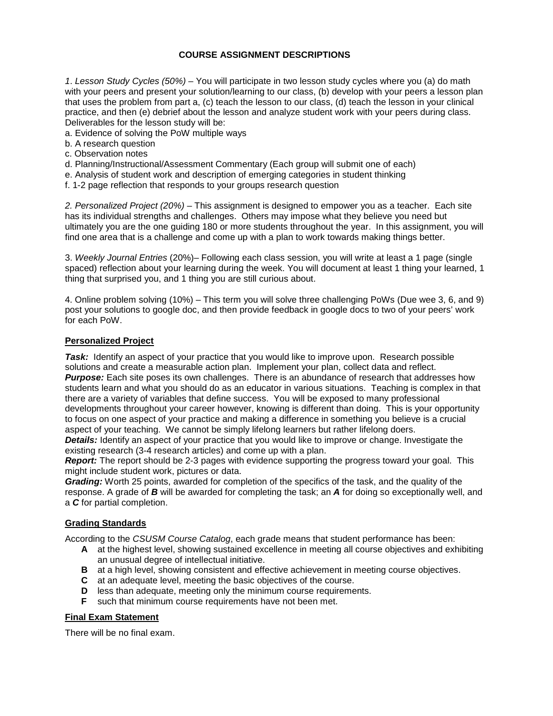# **COURSE ASSIGNMENT DESCRIPTIONS**

*1*. *Lesson Study Cycles (50%)* – You will participate in two lesson study cycles where you (a) do math with your peers and present your solution/learning to our class, (b) develop with your peers a lesson plan that uses the problem from part a, (c) teach the lesson to our class, (d) teach the lesson in your clinical practice, and then (e) debrief about the lesson and analyze student work with your peers during class. Deliverables for the lesson study will be:

a. Evidence of solving the PoW multiple ways

- b. A research question
- c. Observation notes
- d. Planning/Instructional/Assessment Commentary (Each group will submit one of each)
- e. Analysis of student work and description of emerging categories in student thinking
- f. 1-2 page reflection that responds to your groups research question

*2. Personalized Project (20%)* – This assignment is designed to empower you as a teacher. Each site has its individual strengths and challenges. Others may impose what they believe you need but ultimately you are the one guiding 180 or more students throughout the year. In this assignment, you will find one area that is a challenge and come up with a plan to work towards making things better.

3. *Weekly Journal Entries* (20%)– Following each class session, you will write at least a 1 page (single spaced) reflection about your learning during the week. You will document at least 1 thing your learned, 1 thing that surprised you, and 1 thing you are still curious about.

4. Online problem solving (10%) – This term you will solve three challenging PoWs (Due wee 3, 6, and 9) post your solutions to google doc, and then provide feedback in google docs to two of your peers' work for each PoW.

## **Personalized Project**

**Task:** Identify an aspect of your practice that you would like to improve upon. Research possible solutions and create a measurable action plan. Implement your plan, collect data and reflect. **Purpose:** Each site poses its own challenges. There is an abundance of research that addresses how students learn and what you should do as an educator in various situations. Teaching is complex in that there are a variety of variables that define success. You will be exposed to many professional developments throughout your career however, knowing is different than doing. This is your opportunity to focus on one aspect of your practice and making a difference in something you believe is a crucial aspect of your teaching. We cannot be simply lifelong learners but rather lifelong doers.

*Details:* Identify an aspect of your practice that you would like to improve or change. Investigate the existing research (3-4 research articles) and come up with a plan.

*Report:* The report should be 2-3 pages with evidence supporting the progress toward your goal. This might include student work, pictures or data.

*Grading:* Worth 25 points, awarded for completion of the specifics of the task, and the quality of the response. A grade of *B* will be awarded for completing the task; an *A* for doing so exceptionally well, and a *C* for partial completion.

#### **Grading Standards**

According to the *CSUSM Course Catalog*, each grade means that student performance has been:

- **A** at the highest level, showing sustained excellence in meeting all course objectives and exhibiting an unusual degree of intellectual initiative.
- **B** at a high level, showing consistent and effective achievement in meeting course objectives.
- **C** at an adequate level, meeting the basic objectives of the course.
- **D** less than adequate, meeting only the minimum course requirements.
- **F** such that minimum course requirements have not been met.

#### **Final Exam Statement**

There will be no final exam.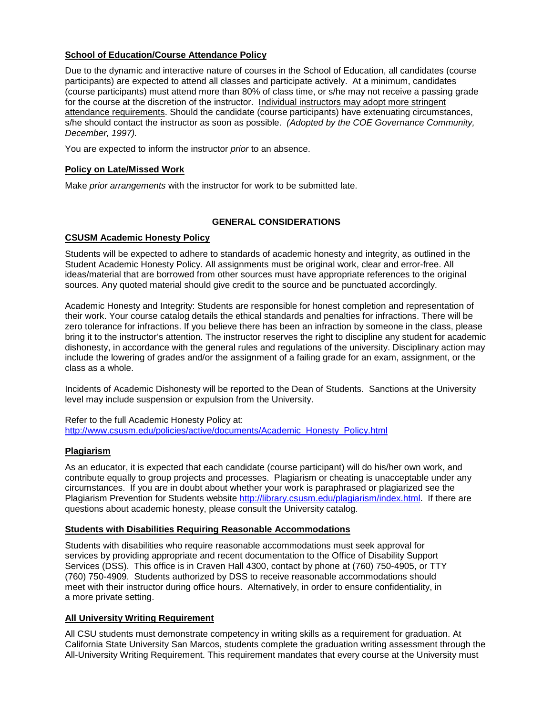# **School of Education/Course Attendance Policy**

Due to the dynamic and interactive nature of courses in the School of Education, all candidates (course participants) are expected to attend all classes and participate actively. At a minimum, candidates (course participants) must attend more than 80% of class time, or s/he may not receive a passing grade for the course at the discretion of the instructor. Individual instructors may adopt more stringent attendance requirements. Should the candidate (course participants) have extenuating circumstances, s/he should contact the instructor as soon as possible. *(Adopted by the COE Governance Community, December, 1997).*

You are expected to inform the instructor *prior* to an absence.

## **Policy on Late/Missed Work**

Make *prior arrangements* with the instructor for work to be submitted late.

# **GENERAL CONSIDERATIONS**

## **CSUSM Academic Honesty Policy**

Students will be expected to adhere to standards of academic honesty and integrity, as outlined in the Student Academic Honesty Policy. All assignments must be original work, clear and error-free. All ideas/material that are borrowed from other sources must have appropriate references to the original sources. Any quoted material should give credit to the source and be punctuated accordingly.

Academic Honesty and Integrity: Students are responsible for honest completion and representation of their work. Your course catalog details the ethical standards and penalties for infractions. There will be zero tolerance for infractions. If you believe there has been an infraction by someone in the class, please bring it to the instructor's attention. The instructor reserves the right to discipline any student for academic dishonesty, in accordance with the general rules and regulations of the university. Disciplinary action may include the lowering of grades and/or the assignment of a failing grade for an exam, assignment, or the class as a whole.

Incidents of Academic Dishonesty will be reported to the Dean of Students. Sanctions at the University level may include suspension or expulsion from the University.

Refer to the full Academic Honesty Policy at: [http://www.csusm.edu/policies/active/documents/Academic\\_Honesty\\_Policy.html](http://www.csusm.edu/policies/active/documents/Academic_Honesty_Policy.html)

# **Plagiarism**

As an educator, it is expected that each candidate (course participant) will do his/her own work, and contribute equally to group projects and processes. Plagiarism or cheating is unacceptable under any circumstances. If you are in doubt about whether your work is paraphrased or plagiarized see the Plagiarism Prevention for Students website [http://library.csusm.edu/plagiarism/index.html.](http://library.csusm.edu/plagiarism/index.html) If there are questions about academic honesty, please consult the University catalog.

#### **Students with Disabilities Requiring Reasonable Accommodations**

Students with disabilities who require reasonable accommodations must seek approval for services by providing appropriate and recent documentation to the Office of Disability Support Services (DSS). This office is in Craven Hall 4300, contact by phone at (760) 750-4905, or TTY (760) 750-4909. Students authorized by DSS to receive reasonable accommodations should meet with their instructor during office hours. Alternatively, in order to ensure confidentiality, in a more private setting.

#### **All University Writing Requirement**

All CSU students must demonstrate competency in writing skills as a requirement for graduation. At California State University San Marcos, students complete the graduation writing assessment through the All-University Writing Requirement. This requirement mandates that every course at the University must